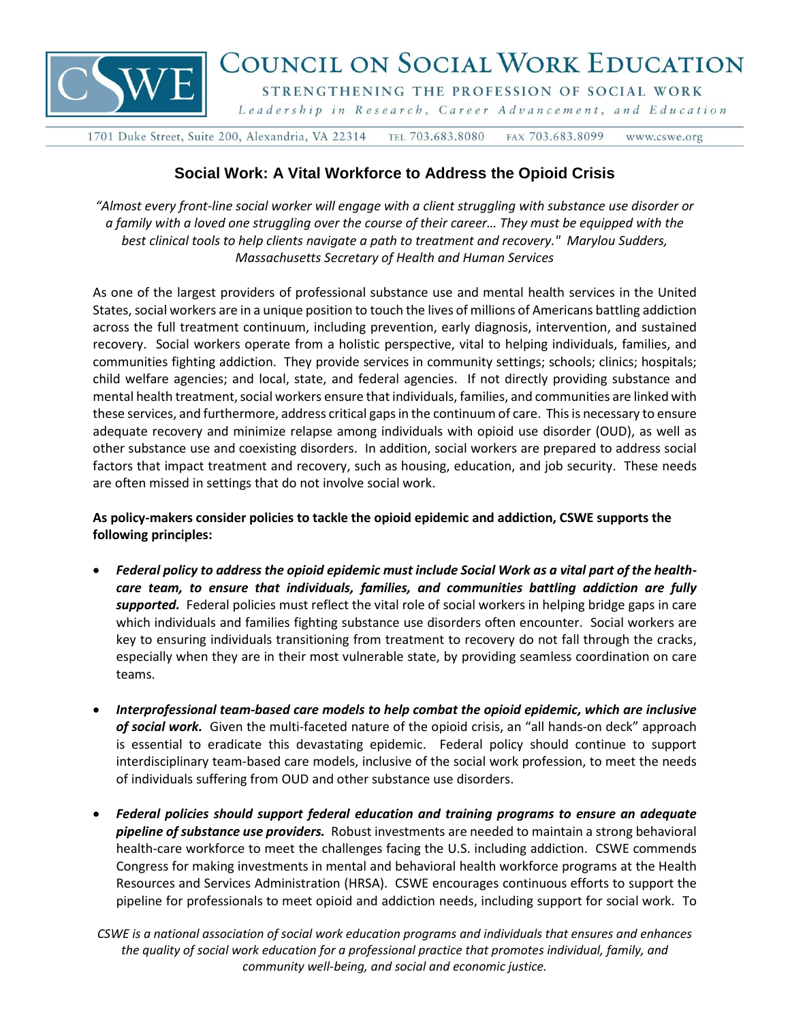

## **COUNCIL ON SOCIAL WORK EDUCATION**

STRENGTHENING THE PROFESSION OF SOCIAL WORK

Leadership in Research, Career Advancement, and Education

1701 Duke Street, Suite 200, Alexandria, VA 22314 TEL 703.683.8080 FAX 703.683.8099 www.cswe.org

## **Social Work: A Vital Workforce to Address the Opioid Crisis**

*"Almost every front-line social worker will engage with a client struggling with substance use disorder or a family with a loved one struggling over the course of their career… They must be equipped with the best clinical tools to help clients navigate a path to treatment and recovery." Marylou Sudders, Massachusetts Secretary of Health and Human Services*

As one of the largest providers of professional substance use and mental health services in the United States, social workers are in a unique position to touch the lives of millions of Americans battling addiction across the full treatment continuum, including prevention, early diagnosis, intervention, and sustained recovery. Social workers operate from a holistic perspective, vital to helping individuals, families, and communities fighting addiction. They provide services in community settings; schools; clinics; hospitals; child welfare agencies; and local, state, and federal agencies. If not directly providing substance and mental health treatment, social workers ensure that individuals, families, and communities are linked with these services, and furthermore, address critical gaps in the continuum of care. Thisis necessary to ensure adequate recovery and minimize relapse among individuals with opioid use disorder (OUD), as well as other substance use and coexisting disorders. In addition, social workers are prepared to address social factors that impact treatment and recovery, such as housing, education, and job security. These needs are often missed in settings that do not involve social work.

**As policy-makers consider policies to tackle the opioid epidemic and addiction, CSWE supports the following principles:** 

- *Federal policy to address the opioid epidemic must include Social Work as a vital part of the healthcare team, to ensure that individuals, families, and communities battling addiction are fully supported.* Federal policies must reflect the vital role of social workers in helping bridge gaps in care which individuals and families fighting substance use disorders often encounter. Social workers are key to ensuring individuals transitioning from treatment to recovery do not fall through the cracks, especially when they are in their most vulnerable state, by providing seamless coordination on care teams.
- *Interprofessional team-based care models to help combat the opioid epidemic, which are inclusive of social work.* Given the multi-faceted nature of the opioid crisis, an "all hands-on deck" approach is essential to eradicate this devastating epidemic. Federal policy should continue to support interdisciplinary team-based care models, inclusive of the social work profession, to meet the needs of individuals suffering from OUD and other substance use disorders.
- *Federal policies should support federal education and training programs to ensure an adequate pipeline of substance use providers.* Robust investments are needed to maintain a strong behavioral health-care workforce to meet the challenges facing the U.S. including addiction. CSWE commends Congress for making investments in mental and behavioral health workforce programs at the Health Resources and Services Administration (HRSA). CSWE encourages continuous efforts to support the pipeline for professionals to meet opioid and addiction needs, including support for social work. To

*CSWE is a national association of social work education programs and individuals that ensures and enhances the quality of social work education for a professional practice that promotes individual, family, and community well-being, and social and economic justice.*